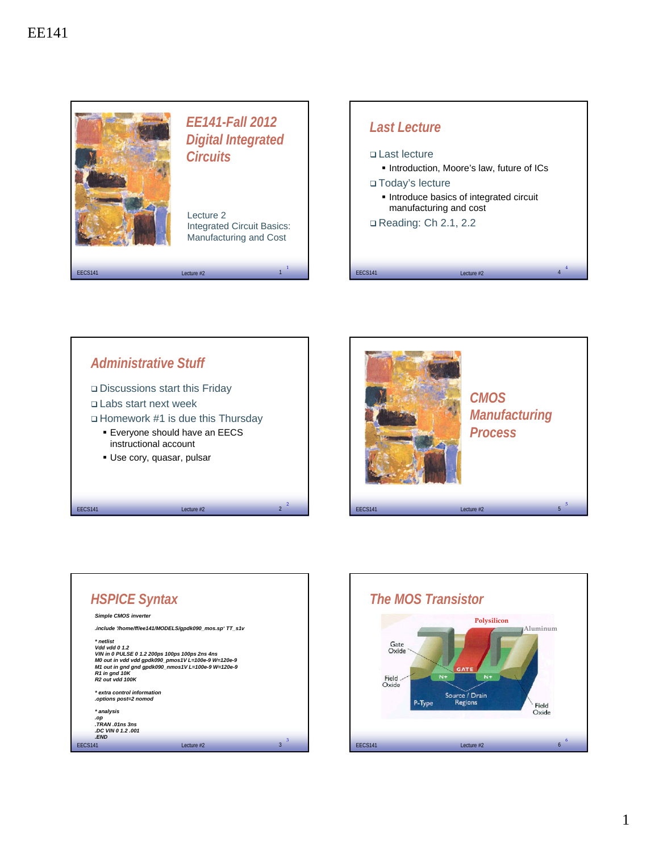





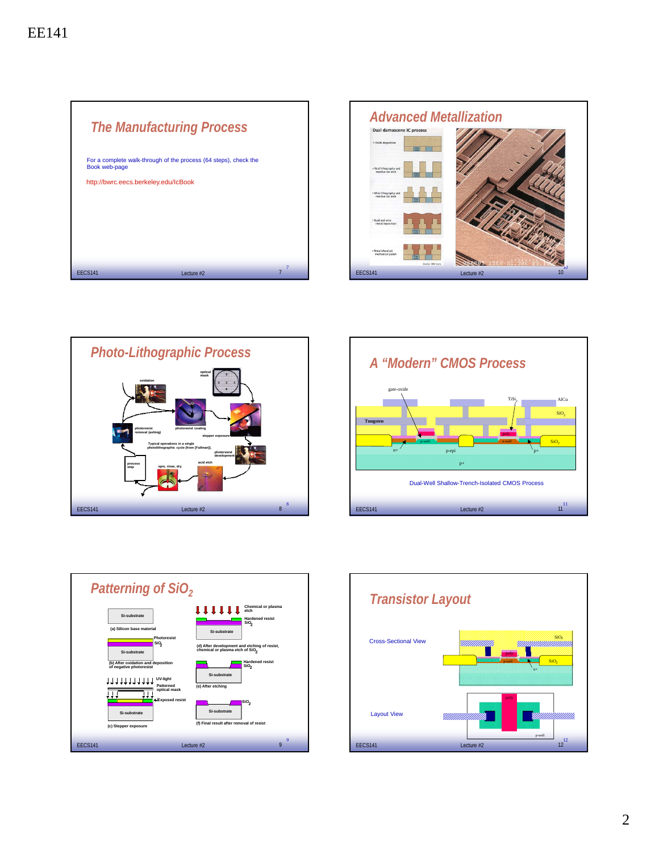| <b>The Manufacturing Process</b>                                                  |   |
|-----------------------------------------------------------------------------------|---|
| For a complete walk-through of the process (64 steps), check the<br>Book web-page |   |
| http://bwrc.eecs.berkeley.edu/IcBook                                              |   |
|                                                                                   |   |
|                                                                                   |   |
|                                                                                   |   |
|                                                                                   | 7 |
| <b>FFCS141</b><br>Lecture $#2$                                                    |   |









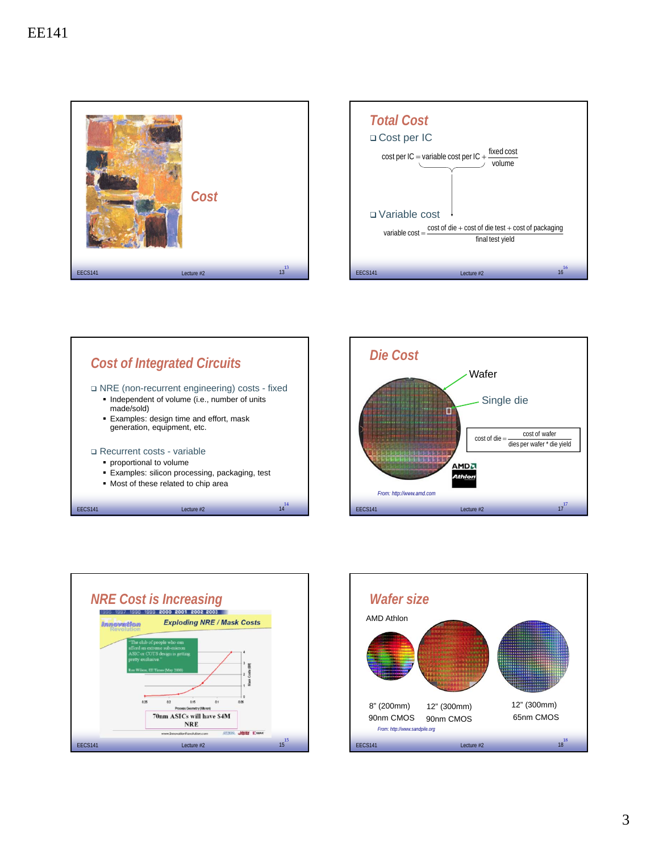